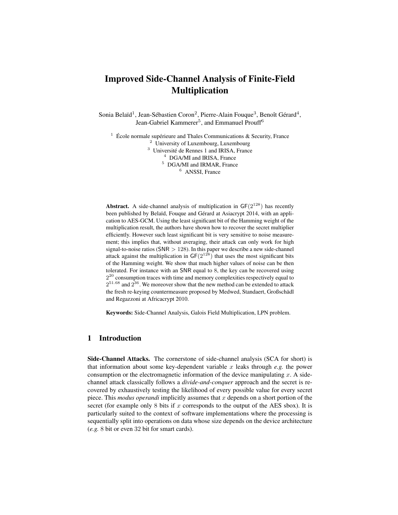# Improved Side-Channel Analysis of Finite-Field Multiplication

Sonia Belaïd<sup>1</sup>, Jean-Sébastien Coron<sup>2</sup>, Pierre-Alain Fouque<sup>3</sup>, Benoît Gérard<sup>4</sup>, Jean-Gabriel Kammerer<sup>5</sup>, and Emmanuel Prouff<sup>6</sup>

 $1$  École normale supérieure and Thales Communications & Security, France <sup>2</sup> University of Luxembourg, Luxembourg <sup>3</sup> Université de Rennes 1 and IRISA, France <sup>4</sup> DGA/MI and IRISA, France <sup>5</sup> DGA/MI and IRMAR, France <sup>6</sup> ANSSI, France

**Abstract.** A side-channel analysis of multiplication in  $GF(2^{128})$  has recently been published by Belaïd, Fouque and Gérard at Asiacrypt 2014, with an application to AES-GCM. Using the least significant bit of the Hamming weight of the multiplication result, the authors have shown how to recover the secret multiplier efficiently. However such least significant bit is very sensitive to noise measurement; this implies that, without averaging, their attack can only work for high signal-to-noise ratios ( $SNR > 128$ ). In this paper we describe a new side-channel attack against the multiplication in  $GF(2^{128})$  that uses the most significant bits of the Hamming weight. We show that much higher values of noise can be then tolerated. For instance with an SNR equal to 8, the key can be recovered using  $2^{20}$  consumption traces with time and memory complexities respectively equal to  $2^{51.68}$  and  $2^{36}$ . We moreover show that the new method can be extended to attack the fresh re-keying countermeasure proposed by Medwed, Standaert, Großschädl and Regazzoni at Africacrypt 2010.

Keywords: Side-Channel Analysis, Galois Field Multiplication, LPN problem.

### 1 Introduction

Side-Channel Attacks. The cornerstone of side-channel analysis (SCA for short) is that information about some key-dependent variable x leaks through *e.g.* the power consumption or the electromagnetic information of the device manipulating  $x$ . A sidechannel attack classically follows a *divide-and-conquer* approach and the secret is recovered by exhaustively testing the likelihood of every possible value for every secret piece. This *modus operandi* implicitly assumes that x depends on a short portion of the secret (for example only 8 bits if  $x$  corresponds to the output of the AES sbox). It is particularly suited to the context of software implementations where the processing is sequentially split into operations on data whose size depends on the device architecture (*e.g.* 8 bit or even 32 bit for smart cards).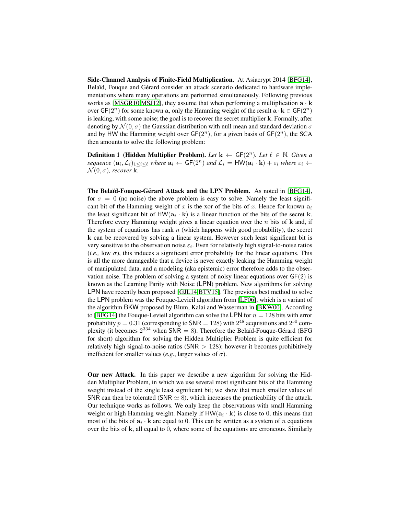Side-Channel Analysis of Finite-Field Multiplication. At Asiacrypt 2014 [\[BFG14\]](#page-18-0), Belaïd, Fouque and Gérard consider an attack scenario dedicated to hardware implementations where many operations are performed simultaneously. Following previous works as [\[MSGR10](#page-19-0), MSJ12], they assume that when performing a multiplication  $\mathbf{a} \cdot \mathbf{k}$ over  $GF(2^n)$  for some known a, only the Hamming weight of the result  $\mathbf{a} \cdot \mathbf{k} \in GF(2^n)$ is leaking, with some noise; the goal is to recover the secret multiplier k. Formally, after denoting by  $\mathcal{N}(0, \sigma)$  the Gaussian distribution with null mean and standard deviation  $\sigma$ and by HW the Hamming weight over  $GF(2^n)$ , for a given basis of  $GF(2^n)$ , the SCA then amounts to solve the following problem:

**Definition 1 (Hidden Multiplier Problem).** Let  $k \leftarrow GF(2^n)$ . Let  $\ell \in \mathbb{N}$ . Given a *sequence*  $(a_i, \mathcal{L}_i)_{1 \leq i \leq \ell}$  *where*  $a_i \leftarrow$  GF(2<sup>n</sup>) and  $\mathcal{L}_i$  = HW( $a_i \cdot k$ ) +  $\varepsilon_i$  *where*  $\varepsilon_i$   $\leftarrow$  $\mathcal{N}(0, \sigma)$ *, recover* **k**.

The Belaïd-Fouque-Gérard Attack and the LPN Problem. As noted in [\[BFG14\]](#page-18-0), for  $\sigma = 0$  (no noise) the above problem is easy to solve. Namely the least significant bit of the Hamming weight of x is the xor of the bits of x. Hence for known  $a_i$ the least significant bit of  $HW(a_i \cdot k)$  is a linear function of the bits of the secret k. Therefore every Hamming weight gives a linear equation over the  $n$  bits of  $k$  and, if the system of equations has rank  $n$  (which happens with good probability), the secret k can be recovered by solving a linear system. However such least significant bit is very sensitive to the observation noise  $\varepsilon_i$ . Even for relatively high signal-to-noise ratios (*i.e.*, low  $\sigma$ ), this induces a significant error probability for the linear equations. This is all the more damageable that a device is never exactly leaking the Hamming weight of manipulated data, and a modeling (aka epistemic) error therefore adds to the observation noise. The problem of solving a system of noisy linear equations over  $GF(2)$  is known as the Learning Parity with Noise (LPN) problem. New algorithms for solving LPN have recently been proposed [\[GJL14,](#page-18-1)[BTV15\]](#page-18-2). The previous best method to solve the LPN problem was the Fouque-Levieil algorithm from [\[LF06\]](#page-18-3), which is a variant of the algorithm BKW proposed by Blum, Kalai and Wasserman in [\[BKW00\]](#page-18-4). According to [\[BFG14\]](#page-18-0) the Fouque-Levieil algorithm can solve the LPN for  $n = 128$  bits with error probability  $p = 0.31$  (corresponding to SNR = 128) with  $2^{48}$  acquisitions and  $2^{50}$  complexity (it becomes  $2^{334}$  when  $SNR = 8$ ). Therefore the Belaïd-Fouque-Gérard (BFG for short) algorithm for solving the Hidden Multiplier Problem is quite efficient for relatively high signal-to-noise ratios (SNR  $> 128$ ); however it becomes prohibitively inefficient for smaller values (*e.g.*, larger values of  $\sigma$ ).

Our new Attack. In this paper we describe a new algorithm for solving the Hidden Multiplier Problem, in which we use several most significant bits of the Hamming weight instead of the single least significant bit; we show that much smaller values of SNR can then be tolerated (SNR  $\simeq$  8), which increases the practicability of the attack. Our technique works as follows. We only keep the observations with small Hamming weight or high Hamming weight. Namely if  $HW(a_i \cdot k)$  is close to 0, this means that most of the bits of  $a_i \cdot k$  are equal to 0. This can be written as a system of n equations over the bits of  $k$ , all equal to  $0$ , where some of the equations are erroneous. Similarly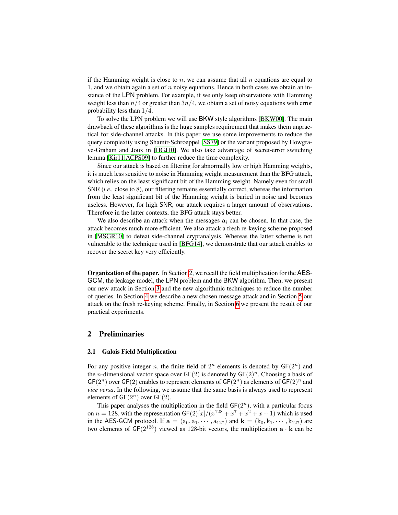if the Hamming weight is close to n, we can assume that all n equations are equal to 1, and we obtain again a set of  $n$  noisy equations. Hence in both cases we obtain an instance of the LPN problem. For example, if we only keep observations with Hamming weight less than  $n/4$  or greater than  $3n/4$ , we obtain a set of noisy equations with error probability less than 1/4.

To solve the LPN problem we will use BKW style algorithms [\[BKW00\]](#page-18-4). The main drawback of these algorithms is the huge samples requirement that makes them unpractical for side-channel attacks. In this paper we use some improvements to reduce the query complexity using Shamir-Schroeppel [\[SS79\]](#page-19-2) or the variant proposed by Howgrave-Graham and Joux in [\[HGJ10\]](#page-18-5). We also take advantage of secret-error switching lemma [\[Kir11](#page-18-6)[,ACPS09\]](#page-18-7) to further reduce the time complexity.

Since our attack is based on filtering for abnormally low or high Hamming weights, it is much less sensitive to noise in Hamming weight measurement than the BFG attack, which relies on the least significant bit of the Hamming weight. Namely even for small SNR (*i.e.,* close to 8), our filtering remains essentially correct, whereas the information from the least significant bit of the Hamming weight is buried in noise and becomes useless. However, for high SNR, our attack requires a larger amount of observations. Therefore in the latter contexts, the BFG attack stays better.

We also describe an attack when the messages  $a_i$  can be chosen. In that case, the attack becomes much more efficient. We also attack a fresh re-keying scheme proposed in [\[MSGR10\]](#page-19-0) to defeat side-channel cryptanalysis. Whereas the latter scheme is not vulnerable to the technique used in [\[BFG14\]](#page-18-0), we demonstrate that our attack enables to recover the secret key very efficiently.

Organization of the paper. In Section [2,](#page-2-0) we recall the field multiplication for the AES-GCM, the leakage model, the LPN problem and the BKW algorithm. Then, we present our new attack in Section [3](#page-5-0) and the new algorithmic techniques to reduce the number of queries. In Section [4](#page-9-0) we describe a new chosen message attack and in Section [5](#page-11-0) our attack on the fresh re-keying scheme. Finally, in Section [6](#page-13-0) we present the result of our practical experiments.

# <span id="page-2-0"></span>2 Preliminaries

### 2.1 Galois Field Multiplication

For any positive integer n, the finite field of  $2^n$  elements is denoted by  $GF(2^n)$  and the *n*-dimensional vector space over  $GF(2)$  is denoted by  $GF(2)<sup>n</sup>$ . Choosing a basis of  $GF(2^n)$  over  $GF(2)$  enables to represent elements of  $GF(2^n)$  as elements of  $GF(2)^n$  and *vice versa*. In the following, we assume that the same basis is always used to represent elements of  $GF(2^n)$  over  $GF(2)$ .

This paper analyses the multiplication in the field  $GF(2<sup>n</sup>)$ , with a particular focus on  $n = 128$ , with the representation  $GF(2)[x]/(x^{128} + x^7 + x^2 + x + 1)$  which is used in the AES-GCM protocol. If  $\mathbf{a} = (a_0, a_1, \dots, a_{127})$  and  $\mathbf{k} = (k_0, k_1, \dots, k_{127})$  are two elements of  $GF(2^{128})$  viewed as 128-bit vectors, the multiplication  $\mathbf{a} \cdot \mathbf{k}$  can be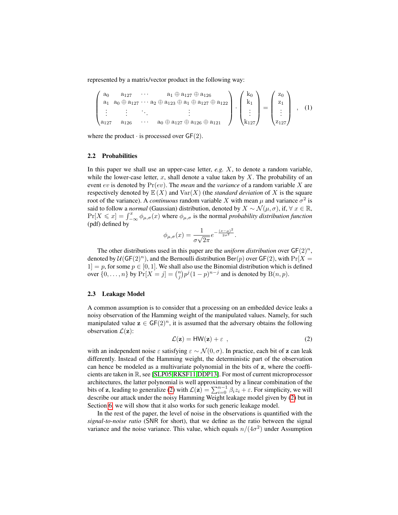represented by a matrix/vector product in the following way:

<span id="page-3-1"></span>
$$
\begin{pmatrix} a_0 & a_{127} & \cdots & a_1 \oplus a_{127} \oplus a_{126} \\ a_1 & a_0 \oplus a_{127} & \cdots & a_2 \oplus a_{123} \oplus a_1 \oplus a_{127} \oplus a_{122} \\ \vdots & \vdots & \ddots & \vdots \\ a_{127} & a_{126} & \cdots & a_0 \oplus a_{127} \oplus a_{126} \oplus a_{121} \end{pmatrix} \cdot \begin{pmatrix} k_0 \\ k_1 \\ \vdots \\ k_{127} \end{pmatrix} = \begin{pmatrix} z_0 \\ z_1 \\ \vdots \\ z_{127} \end{pmatrix} , \quad (1)
$$

where the product  $\cdot$  is processed over  $GF(2)$ .

#### 2.2 Probabilities

In this paper we shall use an upper-case letter, *e.g.* X, to denote a random variable, while the lower-case letter,  $x$ , shall denote a value taken by  $X$ . The probability of an event ev is denoted by Pr(ev). The *mean* and the *variance* of a random variable X are respectively denoted by  $E(X)$  and  $Var(X)$  (the *standard deviation* of X is the square root of the variance). A *continuous* random variable X with mean  $\mu$  and variance  $\sigma^2$  is said to follow a *normal* (Gaussian) distribution, denoted by  $X \sim \mathcal{N}(\mu, \sigma)$ , if,  $\forall x \in \mathbb{R}$ ,  $Pr[X \leq x] = \int_{-\infty}^{x} \phi_{\mu,\sigma}(x)$  where  $\phi_{\mu,\sigma}$  is the normal *probability distribution function* (pdf) defined by

$$
\phi_{\mu,\sigma}(x) = \frac{1}{\sigma\sqrt{2\pi}}e^{-\frac{(x-\mu)^2}{2\sigma^2}}.
$$

The other distributions used in this paper are the *uniform distribution* over  $GF(2)<sup>n</sup>$ , denoted by  $\mathcal{U}(GF(2)^n)$ , and the Bernoulli distribution Ber(p) over  $GF(2)$ , with  $Pr[X =$  $1] = p$ , for some  $p \in [0, 1]$ . We shall also use the Binomial distribution which is defined over  $\{0, \ldots, n\}$  by  $\Pr[X = j] = \binom{n}{j} p^j (1 - p)^{n - j}$  and is denoted by  $B(n, p)$ .

### 2.3 Leakage Model

A common assumption is to consider that a processing on an embedded device leaks a noisy observation of the Hamming weight of the manipulated values. Namely, for such manipulated value  $z \in GF(2)^n$ , it is assumed that the adversary obtains the following observation  $\mathcal{L}(\mathbf{z})$ :

<span id="page-3-0"></span>
$$
\mathcal{L}(\mathbf{z}) = \mathsf{HW}(\mathbf{z}) + \varepsilon \tag{2}
$$

with an independent noise  $\varepsilon$  satisfying  $\varepsilon \sim \mathcal{N}(0, \sigma)$ . In practice, each bit of z can leak differently. Instead of the Hamming weight, the deterministic part of the observation can hence be modeled as a multivariate polynomial in the bits of z, where the coefficients are taken in R, see [\[SLP05,](#page-19-3)[RKSF11,](#page-19-4)[DDP13\]](#page-18-8). For most of current microprocessor architectures, the latter polynomial is well approximated by a linear combination of the bits of **z**, leading to generalize [\(2\)](#page-3-0) with  $\mathcal{L}(\mathbf{z}) = \sum_{i=0}^{n-1} \beta_i z_i + \varepsilon$ . For simplicity, we will describe our attack under the noisy Hamming Weight leakage model given by [\(2\)](#page-3-0) but in Section [6,](#page-13-0) we will show that it also works for such generic leakage model.

In the rest of the paper, the level of noise in the observations is quantified with the *signal-to-noise ratio* (SNR for short), that we define as the ratio between the signal variance and the noise variance. This value, which equals  $n/(4\sigma^2)$  under Assumption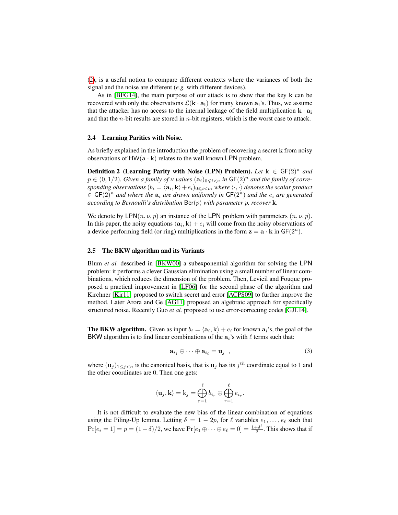[\(2\)](#page-3-0), is a useful notion to compare different contexts where the variances of both the signal and the noise are different (*e.g.* with different devices).

As in [\[BFG14\]](#page-18-0), the main purpose of our attack is to show that the key k can be recovered with only the observations  $\mathcal{L}(\mathbf{k} \cdot \mathbf{a_i})$  for many known  $\mathbf{a_i}$ 's. Thus, we assume that the attacker has no access to the internal leakage of the field multiplication  $\mathbf{k} \cdot \mathbf{a_i}$ and that the  $n$ -bit results are stored in  $n$ -bit registers, which is the worst case to attack.

#### 2.4 Learning Parities with Noise.

As briefly explained in the introduction the problem of recovering a secret k from noisy observations of  $HW(a \cdot k)$  relates to the well known LPN problem.

**Definition 2** (Learning Parity with Noise (LPN) Problem). Let  $k \in GF(2)^n$  and  $p \in (0, 1/2)$ *. Given a family of v values*  $(a_i)_{0 \le i \le \nu}$  *in*  $\mathsf{GF}(2)^n$  *and the family of corre*sponding observations  $(b_i = \langle a_i, k \rangle + e_i)_{0 \leqslant i < \nu}$ , where  $\langle \cdot, \cdot \rangle$  denotes the scalar product  $\in$  GF(2)<sup>*n*</sup> and where the  $a_i$  are drawn uniformly in GF(2<sup>*n*</sup>) and the  $e_i$  are generated *according to Bernoulli's distribution* Ber(p) *with parameter* p*, recover* k*.*

We denote by LPN $(n, \nu, p)$  an instance of the LPN problem with parameters  $(n, \nu, p)$ . In this paper, the noisy equations  $\langle \mathbf{a}_i, \mathbf{k} \rangle + e_i$  will come from the noisy observations of a device performing field (or ring) multiplications in the form  $z = a \cdot k$  in  $GF(2<sup>n</sup>)$ .

### <span id="page-4-1"></span>2.5 The BKW algorithm and its Variants

Blum *et al.* described in [\[BKW00\]](#page-18-4) a subexponential algorithm for solving the LPN problem: it performs a clever Gaussian elimination using a small number of linear combinations, which reduces the dimension of the problem. Then, Levieil and Fouque proposed a practical improvement in [\[LF06\]](#page-18-3) for the second phase of the algorithm and Kirchner [\[Kir11\]](#page-18-6) proposed to switch secret and error [\[ACPS09\]](#page-18-7) to further improve the method. Later Arora and Ge [\[AG11\]](#page-18-9) proposed an algebraic approach for specifically structured noise. Recently Guo *et al.* proposed to use error-correcting codes [\[GJL14\]](#page-18-1).

**The BKW algorithm.** Given as input  $b_i = \langle a_i, k \rangle + e_i$  for known  $a_i$ 's, the goal of the BKW algorithm is to find linear combinations of the  $a_i$ 's with  $\ell$  terms such that:

<span id="page-4-0"></span>
$$
\mathbf{a}_{i_1} \oplus \cdots \oplus \mathbf{a}_{i_\ell} = \mathbf{u}_j \quad , \tag{3}
$$

where  $(\mathbf{u}_j)_{1 \leq j \leq n}$  is the canonical basis, that is  $\mathbf{u}_j$  has its  $j^{th}$  coordinate equal to 1 and the other coordinates are 0. Then one gets:

$$
\langle \mathbf{u}_j, \mathbf{k} \rangle = \mathbf{k}_j = \bigoplus_{r=1}^{\ell} b_{i_r} \oplus \bigoplus_{r=1}^{\ell} e_{i_r}.
$$

It is not difficult to evaluate the new bias of the linear combination of equations using the Piling-Up lemma. Letting  $\delta = 1 - 2p$ , for  $\ell$  variables  $e_1, \ldots, e_\ell$  such that  $Pr[e_i = 1] = p = (1 - \delta)/2$ , we have  $Pr[e_1 \oplus \cdots \oplus e_\ell = 0] = \frac{1 + \delta^{\ell}}{2}$  $\frac{1}{2}$ . This shows that if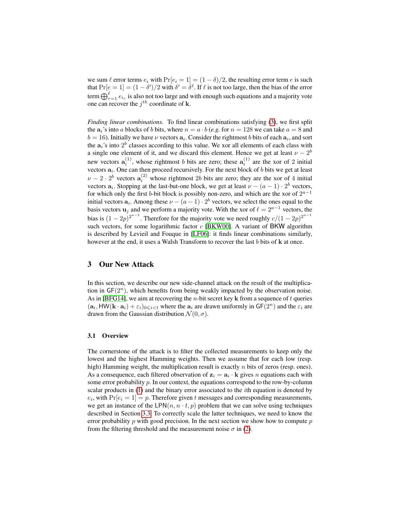we sum  $\ell$  error terms  $e_i$  with  $Pr[e_i = 1] = (1 - \delta)/2$ , the resulting error term e is such that  $Pr[e = 1] = (1 - \delta')/2$  with  $\delta' = \delta^{\ell}$ . If  $\ell$  is not too large, then the bias of the error term  $\bigoplus_{r=1}^\ell e_{i_r}$  is also not too large and with enough such equations and a majority vote one can recover the  $j^{th}$  coordinate of **k**.

*Finding linear combinations.* To find linear combinations satisfying [\(3\)](#page-4-0), we first split the  $a_i$ 's into a blocks of b bits, where  $n = a \cdot b$  (*e.g.* for  $n = 128$  we can take  $a = 8$  and  $b = 16$ ). Initially we have  $\nu$  vectors  $a_i$ . Consider the rightmost  $b$  bits of each  $a_i$ , and sort the  $a_i$ 's into  $2^b$  classes according to this value. We xor all elements of each class with a single one element of it, and we discard this element. Hence we get at least  $\nu - 2^b$ new vectors  $a_i^{(1)}$ , whose rightmost *b* bits are zero; these  $a_i^{(1)}$  are the xor of 2 initial vectors  $a_i$ . One can then proceed recursively. For the next block of b bits we get at least  $\nu - 2 \cdot 2^{b}$  vectors  $a_i^{(2)}$  whose rightmost 2b bits are zero; they are the xor of 4 initial vectors  $a_i$ . Stopping at the last-but-one block, we get at least  $\nu - (a - 1) \cdot 2^b$  vectors, for which only the first b-bit block is possibly non-zero, and which are the xor of  $2^{a-1}$ initial vectors  $a_i$ . Among these  $\nu - (a-1) \cdot 2^b$  vectors, we select the ones equal to the basis vectors  $u_i$  and we perform a majority vote. With the xor of  $\ell = 2^{a-1}$  vectors, the bias is  $(1 - 2p)^{2^{a-1}}$ . Therefore for the majority vote we need roughly  $c/(1 - 2p)^{2^{a-1}}$ such vectors, for some logarithmic factor  $c$  [\[BKW00\]](#page-18-4). A variant of BKW algorithm is described by Levieil and Fouque in [\[LF06\]](#page-18-3): it finds linear combinations similarly, however at the end, it uses a Walsh Transform to recover the last b bits of k at once.

# <span id="page-5-0"></span>3 Our New Attack

In this section, we describe our new side-channel attack on the result of the multiplication in  $GF(2<sup>n</sup>)$ , which benefits from being weakly impacted by the observation noise. As in [\[BFG14\]](#page-18-0), we aim at recovering the *n*-bit secret key k from a sequence of t queries  $(a_i, HW(k \cdot a_i) + \varepsilon_i)_{0 \leq i \leq t}$  where the  $a_i$  are drawn uniformly in  $GF(2^n)$  and the  $\varepsilon_i$  are drawn from the Gaussian distribution  $\mathcal{N}(0, \sigma)$ .

### <span id="page-5-1"></span>3.1 Overview

The cornerstone of the attack is to filter the collected measurements to keep only the lowest and the highest Hamming weights. Then we assume that for each low (resp. high) Hamming weight, the multiplication result is exactly  $n$  bits of zeros (resp. ones). As a consequence, each filtered observation of  $z_i = a_i \cdot k$  gives n equations each with some error probability  $p$ . In our context, the equations correspond to the row-by-column scalar products in  $(1)$  and the binary error associated to the *i*th equation is denoted by  $e_i$ , with  $Pr[e_i = 1] = p$ . Therefore given t messages and corresponding measurements, we get an instance of the LPN $(n, n \cdot t, p)$  problem that we can solve using techniques described in Section [3.3.](#page-8-0) To correctly scale the latter techniques, we need to know the error probability  $p$  with good precision. In the next section we show how to compute  $p$ from the filtering threshold and the measurement noise  $\sigma$  in [\(2\)](#page-3-0).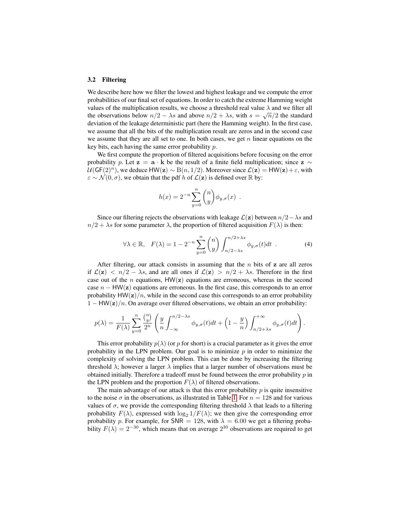#### 3.2 Filtering

We describe here how we filter the lowest and highest leakage and we compute the error probabilities of our final set of equations. In order to catch the extreme Hamming weight values of the multiplication results, we choose a threshold real value  $\lambda$  and we filter all the observations below  $n/2 - \lambda s$  and above  $n/2 + \lambda s$ , with  $s = \sqrt{n}/2$  the standard deviation of the leakage deterministic part (here the Hamming weight). In the first case, we assume that all the bits of the multiplication result are zeros and in the second case we assume that they are all set to one. In both cases, we get  $n$  linear equations on the key bits, each having the same error probability  $p$ .

We first compute the proportion of filtered acquisitions before focusing on the error probability p. Let  $z = a \cdot k$  be the result of a finite field multiplication; since  $z \sim$  $U(GF(2)^n)$ , we deduce HW(z) ~ B(n, 1/2). Moreover since  $\mathcal{L}(z) = HW(z) + \varepsilon$ , with  $\varepsilon \sim \mathcal{N}(0, \sigma)$ , we obtain that the pdf h of  $\mathcal{L}(\mathbf{z})$  is defined over R by:

$$
h(x) = 2^{-n} \sum_{y=0}^{n} {n \choose y} \phi_{y,\sigma}(x) .
$$

Since our filtering rejects the observations with leakage  $\mathcal{L}(z)$  between  $n/2 - \lambda s$  and  $n/2 + \lambda s$  for some parameter  $\lambda$ , the proportion of filtered acquisition  $F(\lambda)$  is then:

<span id="page-6-0"></span>
$$
\forall \lambda \in \mathbb{R}, \quad F(\lambda) = 1 - 2^{-n} \sum_{y=0}^{n} \binom{n}{y} \int_{n/2 - \lambda s}^{n/2 + \lambda s} \phi_{y,\sigma}(t) dt \tag{4}
$$

After filtering, our attack consists in assuming that the n bits of  $z$  are all zeros if  $\mathcal{L}(\mathbf{z}) < n/2 - \lambda s$ , and are all ones if  $\mathcal{L}(\mathbf{z}) > n/2 + \lambda s$ . Therefore in the first case out of the n equations,  $HW(z)$  equations are erroneous, whereas in the second case  $n - HW(z)$  equations are erroneous. In the first case, this corresponds to an error probability  $HW(z)/n$ , while in the second case this corresponds to an error probability  $1 - HW(z)/n$ . On average over filtered observations, we obtain an error probability:

$$
p(\lambda) = \frac{1}{F(\lambda)} \sum_{y=0}^{n} \frac{\binom{n}{y}}{2^n} \left( \frac{y}{n} \int_{-\infty}^{n/2-\lambda s} \phi_{y,\sigma}(t) dt + \left(1 - \frac{y}{n}\right) \int_{n/2+\lambda s}^{+\infty} \phi_{y,\sigma}(t) dt \right).
$$

This error probability  $p(\lambda)$  (or p for short) is a crucial parameter as it gives the error probability in the LPN problem. Our goal is to minimize  $p$  in order to minimize the complexity of solving the LPN problem. This can be done by increasing the filtering threshold  $\lambda$ ; however a larger  $\lambda$  implies that a larger number of observations must be obtained initially. Therefore a tradeoff must be found between the error probability  $p$  in the LPN problem and the proportion  $F(\lambda)$  of filtered observations.

The main advantage of our attack is that this error probability  $p$  is quite insensitive to the noise  $\sigma$  in the observations, as illustrated in Table [1.](#page-7-0) For  $n = 128$  and for various values of  $\sigma$ , we provide the corresponding filtering threshold  $\lambda$  that leads to a filtering probability  $F(\lambda)$ , expressed with  $\log_2 1/F(\lambda)$ ; we then give the corresponding error probability p. For example, for SNR = 128, with  $\lambda = 6.00$  we get a filtering probability  $F(\lambda) = 2^{-30}$ , which means that on average  $2^{30}$  observations are required to get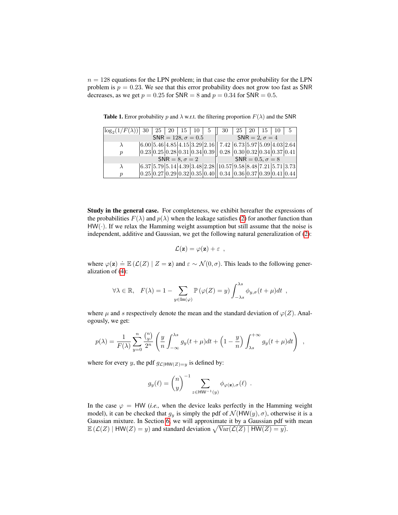$n = 128$  equations for the LPN problem; in that case the error probability for the LPN problem is  $p = 0.23$ . We see that this error probability does not grow too fast as SNR decreases, as we get  $p = 0.25$  for  $SNR = 8$  and  $p = 0.34$  for  $SNR = 0.5$ .

| $ \log_2(1/F(\lambda)) $ 30   25   20   15   10 |                           |  |  |  | -5 | 30                                                                         | 25 l |  | $20 \mid 15 \mid 10$ |  | 5 |
|-------------------------------------------------|---------------------------|--|--|--|----|----------------------------------------------------------------------------|------|--|----------------------|--|---|
|                                                 | $SNR = 128, \sigma = 0.5$ |  |  |  |    | $SNR = 2, \sigma = 4$                                                      |      |  |                      |  |   |
|                                                 |                           |  |  |  |    | $(6.00 5.46 4.85 4.15 3.29 2.16  7.42 6.73 5.97 5.09 4.03 2.64)$           |      |  |                      |  |   |
| $\boldsymbol{v}$                                |                           |  |  |  |    | $[0.23] 0.25] 0.28] 0.31] 0.34] 0.39] 0.28] 0.30] 0.32] 0.34] 0.37] 0.41]$ |      |  |                      |  |   |
|                                                 | $SNR = 8, \sigma = 2$     |  |  |  |    | $SNR = 0.5, \sigma = 8$                                                    |      |  |                      |  |   |
|                                                 |                           |  |  |  |    | $(6.37 5.79 5.14 4.39 3.48 2.28 10.57 9.58 8.48 7.21 5.71 3.73)$           |      |  |                      |  |   |
| $\boldsymbol{\eta}$                             |                           |  |  |  |    | $ 0.25 0.27 0.29 0.32 0.35 0.40 $ 0.34 $ 0.36 0.37 0.39 0.41 0.44 $        |      |  |                      |  |   |

<span id="page-7-0"></span>**Table 1.** Error probability p and  $\lambda$  w.r.t. the filtering proportion  $F(\lambda)$  and the SNR

<span id="page-7-1"></span>Study in the general case. For completeness, we exhibit hereafter the expressions of the probabilities  $F(\lambda)$  and  $p(\lambda)$  when the leakage satisfies [\(2\)](#page-3-0) for another function than  $HW(\cdot)$ . If we relax the Hamming weight assumption but still assume that the noise is independent, additive and Gaussian, we get the following natural generalization of [\(2\)](#page-3-0):

$$
\mathcal{L}(\mathbf{z}) = \varphi(\mathbf{z}) + \varepsilon \enspace ,
$$

where  $\varphi(\mathbf{z}) \doteq \mathbb{E} (\mathcal{L}(Z) | Z = \mathbf{z})$  and  $\varepsilon \sim \mathcal{N}(0, \sigma)$ . This leads to the following generalization of [\(4\)](#page-6-0):

$$
\forall \lambda \in \mathbb{R}, \quad F(\lambda) = 1 - \sum_{y \in \text{Im}(\varphi)} \mathbb{P}(\varphi(Z) = y) \int_{-\lambda s}^{\lambda s} \phi_{y,\sigma}(t + \mu) dt ,
$$

where  $\mu$  and s respectively denote the mean and the standard deviation of  $\varphi(Z)$ . Analogously, we get:

$$
p(\lambda) = \frac{1}{F(\lambda)} \sum_{y=0}^{n} \frac{\binom{n}{y}}{2^n} \left( \frac{y}{n} \int_{-\infty}^{\lambda s} g_y(t+\mu)dt + \left(1 - \frac{y}{n}\right) \int_{\lambda s}^{+\infty} g_y(t+\mu)dt \right) ,
$$

where for every y, the pdf  $g_{\mathcal{L}|\text{HW}(Z)=y}$  is defined by:

$$
g_y(\ell) = {n \choose y}^{-1} \sum_{z \in \mathsf{HW}^{-1}(y)} \phi_{\varphi(\mathbf{z}), \sigma}(\ell) .
$$

In the case  $\varphi = HW$  (*i.e.*, when the device leaks perfectly in the Hamming weight model), it can be checked that  $g_y$  is simply the pdf of  $\mathcal{N}(\text{HW}(y), \sigma)$ , otherwise it is a Gaussian mixture. In Section [6,](#page-13-0) we will approximate it by a Gaussian pdf with mean  $\mathbb{E} (\mathcal{L}(Z) | HW(Z) = y)$  and standard deviation  $\sqrt{\text{Var}(\mathcal{L}(Z) | HW(Z) = y)}$ .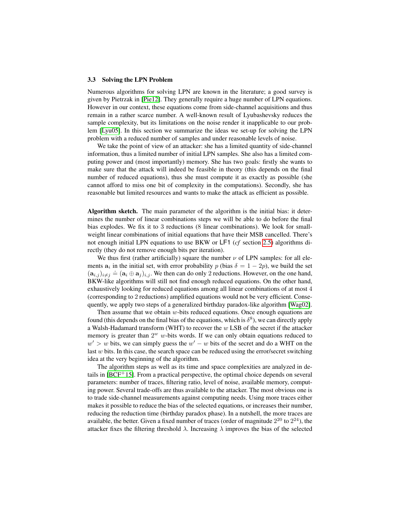### <span id="page-8-0"></span>3.3 Solving the LPN Problem

Numerous algorithms for solving LPN are known in the literature; a good survey is given by Pietrzak in [\[Pie12\]](#page-19-5). They generally require a huge number of LPN equations. However in our context, these equations come from side-channel acquisitions and thus remain in a rather scarce number. A well-known result of Lyubashevsky reduces the sample complexity, but its limitations on the noise render it inapplicable to our problem [\[Lyu05\]](#page-19-6). In this section we summarize the ideas we set-up for solving the LPN problem with a reduced number of samples and under reasonable levels of noise.

We take the point of view of an attacker: she has a limited quantity of side-channel information, thus a limited number of initial LPN samples. She also has a limited computing power and (most importantly) memory. She has two goals: firstly she wants to make sure that the attack will indeed be feasible in theory (this depends on the final number of reduced equations), thus she must compute it as exactly as possible (she cannot afford to miss one bit of complexity in the computations). Secondly, she has reasonable but limited resources and wants to make the attack as efficient as possible.

Algorithm sketch. The main parameter of the algorithm is the initial bias: it determines the number of linear combinations steps we will be able to do before the final bias explodes. We fix it to 3 reductions (8 linear combinations). We look for smallweight linear combinations of initial equations that have their MSB cancelled. There's not enough initial LPN equations to use BKW or LF1 (*cf* section [2.5\)](#page-4-1) algorithms directly (they do not remove enough bits per iteration).

We thus first (rather artificially) square the number  $\nu$  of LPN samples: for all elements  $a_i$  in the initial set, with error probability p (bias  $\delta = 1 - 2p$ ), we build the set  $(a_{i,j})_{i \neq j} \doteq (a_i \oplus a_j)_{i,j}$ . We then can do only 2 reductions. However, on the one hand, BKW-like algorithms will still not find enough reduced equations. On the other hand, exhaustively looking for reduced equations among all linear combinations of at most 4 (corresponding to 2 reductions) amplified equations would not be very efficient. Consequently, we apply two steps of a generalized birthday paradox-like algorithm [\[Wag02\]](#page-19-7).

Then assume that we obtain  $w$ -bits reduced equations. Once enough equations are found (this depends on the final bias of the equations, which is  $\delta^8$ ), we can directly apply a Walsh-Hadamard transform (WHT) to recover the  $w$  LSB of the secret if the attacker memory is greater than  $2^w$  w-bits words. If we can only obtain equations reduced to  $w' > w$  bits, we can simply guess the  $w' - w$  bits of the secret and do a WHT on the last  $w$  bits. In this case, the search space can be reduced using the error/secret switching idea at the very beginning of the algorithm.

The algorithm steps as well as its time and space complexities are analyzed in details in  $[BCF^+15]$  $[BCF^+15]$ . From a practical perspective, the optimal choice depends on several parameters: number of traces, filtering ratio, level of noise, available memory, computing power. Several trade-offs are thus available to the attacker. The most obvious one is to trade side-channel measurements against computing needs. Using more traces either makes it possible to reduce the bias of the selected equations, or increases their number, reducing the reduction time (birthday paradox phase). In a nutshell, the more traces are available, the better. Given a fixed number of traces (order of magnitude  $2^{20}$  to  $2^{24}$ ), the attacker fixes the filtering threshold  $\lambda$ . Increasing  $\lambda$  improves the bias of the selected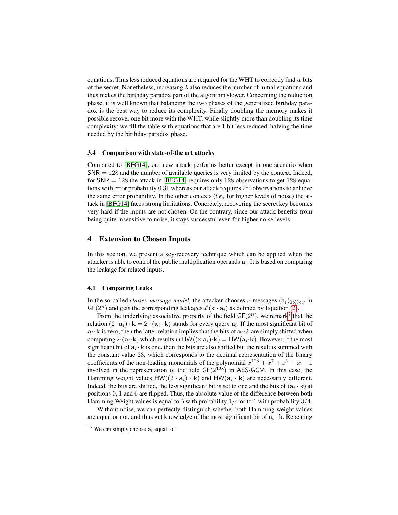equations. Thus less reduced equations are required for the WHT to correctly find  $w$  bits of the secret. Nonetheless, increasing  $\lambda$  also reduces the number of initial equations and thus makes the birthday paradox part of the algorithm slower. Concerning the reduction phase, it is well known that balancing the two phases of the generalized birthday paradox is the best way to reduce its complexity. Finally doubling the memory makes it possible recover one bit more with the WHT, while slightly more than doubling its time complexity: we fill the table with equations that are 1 bit less reduced, halving the time needed by the birthday paradox phase.

### 3.4 Comparison with state-of-the art attacks

Compared to [\[BFG14\]](#page-18-0), our new attack performs better except in one scenario when  $SNR = 128$  and the number of available queries is very limited by the context. Indeed, for  $SNR = 128$  the attack in [\[BFG14\]](#page-18-0) requires only 128 observations to get 128 equations with error probability 0.31 whereas our attack requires  $2^{15}$  observations to achieve the same error probability. In the other contexts (*i.e.,* for higher levels of noise) the attack in [\[BFG14\]](#page-18-0) faces strong limitations. Concretely, recovering the secret key becomes very hard if the inputs are not chosen. On the contrary, since our attack benefits from being quite insensitive to noise, it stays successful even for higher noise levels.

### <span id="page-9-0"></span>4 Extension to Chosen Inputs

In this section, we present a key-recovery technique which can be applied when the attacker is able to control the public multiplication operands  $\mathbf{a}_i$ . It is based on comparing the leakage for related inputs.

### 4.1 Comparing Leaks

In the so-called *chosen message model*, the attacker chooses  $\nu$  messages  $(a_i)_{0 \le i \le \nu}$  in  $GF(2^n)$  and gets the corresponding leakages  $\mathcal{L}(\mathbf{k} \cdot \mathbf{a}_i)$  as defined by Equation [\(2\)](#page-3-0).

From the underlying associative property of the field  $GF(2<sup>n</sup>)$ , we remark<sup>[7](#page-9-1)</sup> that the relation  $(2 \cdot a_i) \cdot k = 2 \cdot (a_i \cdot k)$  stands for every query  $a_i$ . If the most significant bit of  $a_i \cdot k$  is zero, then the latter relation implies that the bits of  $a_i \cdot k$  are simply shifted when computing  $2\cdot({\bf a}_i\cdot{\bf k})$  which results in  ${\sf HW}((2\cdot{\bf a}_i)\cdot{\bf k})={\sf HW}({\bf a}_i\cdot{\bf k}).$  However, if the most significant bit of  $a_i \cdot k$  is one, then the bits are also shifted but the result is summed with the constant value 23, which corresponds to the decimal representation of the binary coefficients of the non-leading monomials of the polynomial  $x^{128} + x^7 + x^2 + x + 1$ involved in the representation of the field  $GF(2^{128})$  in AES-GCM. In this case, the Hamming weight values  $HW((2 \cdot a_i) \cdot k)$  and  $HW(a_i \cdot k)$  are necessarily different. Indeed, the bits are shifted, the less significant bit is set to one and the bits of  $(a_i \cdot k)$  at positions 0, 1 and 6 are flipped. Thus, the absolute value of the difference between both Hamming Weight values is equal to 3 with probability  $1/4$  or to 1 with probability  $3/4$ .

Without noise, we can perfectly distinguish whether both Hamming weight values are equal or not, and thus get knowledge of the most significant bit of  $a_i \cdot k$ . Repeating

<span id="page-9-1"></span><sup>&</sup>lt;sup>7</sup> We can simply choose  $a_i$  equal to 1.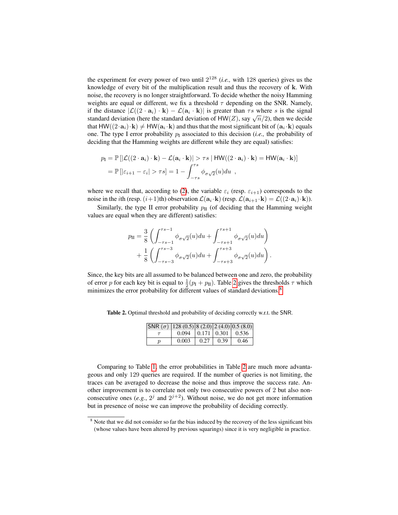the experiment for every power of two until  $2^{128}$  (*i.e.*, with 128 queries) gives us the knowledge of every bit of the multiplication result and thus the recovery of k. With noise, the recovery is no longer straightforward. To decide whether the noisy Hamming weights are equal or different, we fix a threshold  $\tau$  depending on the SNR. Namely, if the distance  $|\mathcal{L}((2 \cdot a_i) \cdot k) - \mathcal{L}(a_i \cdot k)|$  is greater than  $\tau s$  where s is the signal standard deviation (here the standard deviation of HW(Z), say  $\sqrt{n}/2$ ), then we decide that  $HW((2 \cdot a_i) \cdot k) \neq HW(a_i \cdot k)$  and thus that the most significant bit of  $(a_i \cdot k)$  equals one. The type I error probability  $p<sub>I</sub>$  associated to this decision (*i.e.*, the probability of deciding that the Hamming weights are different while they are equal) satisfies:

$$
p_{\mathbf{I}} = \mathbb{P}\left[|\mathcal{L}((2 \cdot \mathbf{a}_{i}) \cdot \mathbf{k}) - \mathcal{L}(\mathbf{a}_{i} \cdot \mathbf{k})| > \tau s \mid HW((2 \cdot \mathbf{a}_{i}) \cdot \mathbf{k}) = HW(\mathbf{a}_{i} \cdot \mathbf{k})\right]
$$
  
=  $\mathbb{P}\left[|\varepsilon_{i+1} - \varepsilon_{i}| > \tau s\right] = 1 - \int_{-\tau s}^{\tau s} \phi_{\sigma \sqrt{2}}(u) du$ ,

where we recall that, according to [\(2\)](#page-3-0), the variable  $\varepsilon_i$  (resp.  $\varepsilon_{i+1}$ ) corresponds to the noise in the *i*th (resp.  $(i+1)$ th) observation  $\mathcal{L}(\mathbf{a}_i \cdot \mathbf{k})$  (resp.  $\mathcal{L}(\mathbf{a}_{i+1} \cdot \mathbf{k}) = \mathcal{L}((2 \cdot \mathbf{a}_i) \cdot \mathbf{k})$ ).

Similarly, the type II error probability  $p_{II}$  (of deciding that the Hamming weight values are equal when they are different) satisfies:

$$
p_{\rm II} = \frac{3}{8} \left( \int_{-\tau s - 1}^{\tau s - 1} \phi_{\sigma \sqrt{2}}(u) du + \int_{-\tau s + 1}^{\tau s + 1} \phi_{\sigma \sqrt{2}}(u) du \right) + \frac{1}{8} \left( \int_{-\tau s - 3}^{\tau s - 3} \phi_{\sigma \sqrt{2}}(u) du + \int_{-\tau s + 3}^{\tau s + 3} \phi_{\sigma \sqrt{2}}(u) du \right).
$$

Since, the key bits are all assumed to be balanced between one and zero, the probability of error p for each key bit is equal to  $\frac{1}{2}(p_1 + p_1)$ . Table [2](#page-10-0) gives the thresholds  $\tau$  which minimizes the error probability for different values of standard deviations.<sup>[8](#page-10-1)</sup>

<span id="page-10-0"></span>Table 2. Optimal threshold and probability of deciding correctly w.r.t. the SNR.

| SNR $(\sigma)$  128 (0.5) 8 (2.0) 2 (4.0) 0.5 (8.0) |       |      |      |                                 |
|-----------------------------------------------------|-------|------|------|---------------------------------|
|                                                     |       |      |      | $0.094$   0.171   0.301   0.536 |
|                                                     | 0.003 | 0.27 | 0.39 | 0.46                            |

Comparing to Table [1,](#page-7-0) the error probabilities in Table [2](#page-10-0) are much more advantageous and only 129 queries are required. If the number of queries is not limiting, the traces can be averaged to decrease the noise and thus improve the success rate. Another improvement is to correlate not only two consecutive powers of 2 but also nonconsecutive ones (*e.g.*,  $2^{j}$  and  $2^{j+2}$ ). Without noise, we do not get more information but in presence of noise we can improve the probability of deciding correctly.

<span id="page-10-1"></span><sup>&</sup>lt;sup>8</sup> Note that we did not consider so far the bias induced by the recovery of the less significant bits (whose values have been altered by previous squarings) since it is very negligible in practice.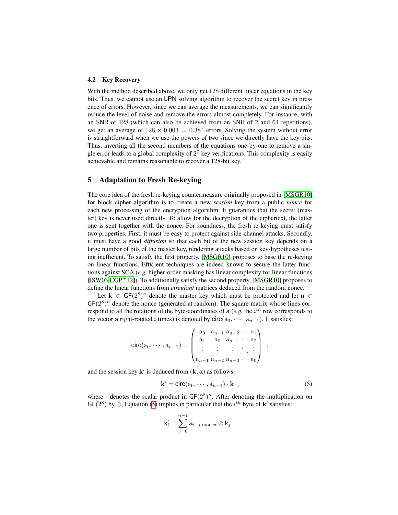#### 4.2 Key Recovery

With the method described above, we only get 128 different linear equations in the key bits. Thus, we cannot use an LPN solving algorithm to recover the secret key in presence of errors. However, since we can average the measurements, we can significantly reduce the level of noise and remove the errors almost completely. For instance, with an SNR of 128 (which can also be achieved from an SNR of 2 and 64 repetitions), we get an average of  $128 \times 0.003 = 0.384$  errors. Solving the system without error is straightforward when we use the powers of two since we directly have the key bits. Thus, inverting all the second members of the equations one-by-one to remove a single error leads to a global complexity of  $2<sup>7</sup>$  key verifications. This complexity is easily achievable and remains reasonable to recover a 128-bit key.

### <span id="page-11-0"></span>5 Adaptation to Fresh Re-keying

The core idea of the fresh re-keying countermeasure originally proposed in [\[MSGR10\]](#page-19-0) for block cipher algorithm is to create a new *session* key from a public *nonce* for each new processing of the encryption algorithm. It guaranties that the secret (master) key is never used directly. To allow for the decryption of the ciphertext, the latter one is sent together with the nonce. For soundness, the fresh re-keying must satisfy two properties. First, it must be easy to protect against side-channel attacks. Secondly, it must have a good *diffusion* so that each bit of the new session key depends on a large number of bits of the master key, rendering attacks based on key-hypotheses testing inefficient. To satisfy the first property, [\[MSGR10\]](#page-19-0) proposes to base the re-keying on linear functions. Efficient techniques are indeed known to secure the latter functions against SCA (*e.g.* higher-order masking has linear complexity for linear functions  $[ISW03, CGP<sup>+</sup>12]$  $[ISW03, CGP<sup>+</sup>12]$ . To additionally satisfy the second property, [\[MSGR10\]](#page-19-0) proposes to define the linear functions from *circulant* matrices deduced from the random nonce.

Let  $\mathbf{k} \in \mathsf{GF}(2^8)^n$  denote the master key which must be protected and let  $\mathbf{a} \in \mathbb{R}$  $GF(2<sup>8</sup>)<sup>n</sup>$  denote the nonce (generated at random). The square matrix whose lines correspond to all the rotations of the byte-coordinates of  $a$  (*e.g.* the  $i^{th}$  row corresponds to the vector a right-rotated *i* times) is denoted by  $circ(a_0, \dots, a_{n-1})$ . It satisfies:

$$
circ(a_0, \cdots, a_{n-1}) = \begin{pmatrix} a_0 & a_{n-1} & a_{n-2} & \cdots & a_1 \\ a_1 & a_0 & a_{n-1} & \cdots & a_2 \\ \vdots & \vdots & \vdots & \ddots & \vdots \\ a_{n-1} & a_{n-2} & a_{n-3} & \cdots & a_0 \end{pmatrix}
$$

and the session key  $\mathbf{k}'$  is deduced from  $(\mathbf{k}, \mathbf{a})$  as follows:

<span id="page-11-1"></span>
$$
\mathbf{k}' = \text{circ}(a_0, \cdots, a_{n-1}) \cdot \mathbf{k} \tag{5}
$$

,

where  $\cdot$  denotes the scalar product in  $GF(2^8)^n$ . After denoting the multiplication on  $GF(2^8)$  by  $\otimes$ , Equation [\(5\)](#page-11-1) implies in particular that the i<sup>th</sup> byte of **k**' satisfies:

$$
k'_i = \sum_{j=0}^{n-1} a_{i+j \bmod n} \otimes k_j.
$$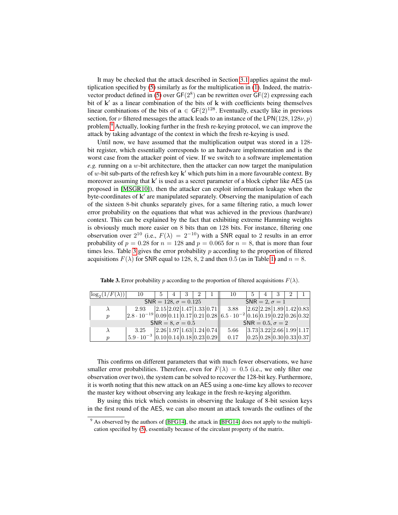It may be checked that the attack described in Section [3.1](#page-5-1) applies against the multiplication specified by [\(5\)](#page-11-1) similarly as for the multiplication in [\(1\)](#page-3-1). Indeed, the matrix-vector product defined in [\(5\)](#page-11-1) over  $GF(2^8)$  can be rewritten over  $GF(2)$  expressing each bit of k' as a linear combination of the bits of k with coefficients being themselves linear combinations of the bits of  $\mathbf{a} \in \mathsf{GF}(2)^{128}$ . Eventually, exactly like in previous section, for  $\nu$  filtered messages the attack leads to an instance of the LPN(128, 128 $\nu$ , p) problem.[9](#page-12-0) Actually, looking further in the fresh re-keying protocol, we can improve the attack by taking advantage of the context in which the fresh re-keying is used.

Until now, we have assumed that the multiplication output was stored in a 128 bit register, which essentially corresponds to an hardware implementation and is the worst case from the attacker point of view. If we switch to a software implementation *e.g.* running on a w-bit architecture, then the attacker can now target the manipulation of w-bit sub-parts of the refresh key  $k'$  which puts him in a more favourable context. By moreover assuming that k' is used as a secret parameter of a block cipher like AES (as proposed in [\[MSGR10\]](#page-19-0)), then the attacker can exploit information leakage when the byte-coordinates of  $k'$  are manipulated separately. Observing the manipulation of each of the sixteen 8-bit chunks separately gives, for a same filtering ratio, a much lower error probability on the equations that what was achieved in the previous (hardware) context. This can be explained by the fact that exhibiting extreme Hamming weights is obviously much more easier on 8 bits than on 128 bits. For instance, filtering one observation over  $2^{10}$  (i.e.,  $F(\lambda) = 2^{-10}$ ) with a SNR equal to 2 results in an error probability of  $p = 0.28$  for  $n = 128$  and  $p = 0.065$  for  $n = 8$ , that is more than four times less. Table [3](#page-12-1) gives the error probability  $p$  according to the proportion of filtered acquisitions  $F(\lambda)$  for SNR equal to 128, 8, 2 and then 0.5 (as in Table [1\)](#page-7-0) and  $n = 8$ .

<span id="page-12-1"></span>**Table 3.** Error probability p according to the proportion of filtered acquisitions  $F(\lambda)$ .

| $\left \log_2(1/F(\lambda))\right $ | 10                                                                                      | 5 | 4 |  |  |                          | 10                                  | 5 | 4                        |  |  |  |
|-------------------------------------|-----------------------------------------------------------------------------------------|---|---|--|--|--------------------------|-------------------------------------|---|--------------------------|--|--|--|
|                                     | SNR = 128, $\sigma = 0.125$                                                             |   |   |  |  |                          | $SNR = 2, \sigma = 1$               |   |                          |  |  |  |
|                                     | 2.93 $ 2.15 2.02 1.47 1.33 0.71 $                                                       |   |   |  |  |                          | $3.88$ $ 2.62 2.28 1.89 1.42 0.83 $ |   |                          |  |  |  |
| $\boldsymbol{p}$                    | $ 2.8\cdot10^{-19} 0.09 0.11 0.17 0.21 0.28  6.5\cdot10^{-2} 0.16 0.19 0.22 0.26 0.32 $ |   |   |  |  |                          |                                     |   |                          |  |  |  |
|                                     | $SNR = 8, \sigma = 0.5$                                                                 |   |   |  |  | $SNR = 0.5, \sigma = 2$  |                                     |   |                          |  |  |  |
|                                     | 3.25                                                                                    |   |   |  |  | 2.26 1.97 1.63 1.24 0.74 | 5.66                                |   | 3.73 3.22 2.66 1.99 1.17 |  |  |  |
| $\boldsymbol{v}$                    | $5.9 \cdot 10^{-3}$ $0.10 \mid 0.14 \mid 0.18 \mid 0.23 \mid 0.29 \mid$                 |   |   |  |  |                          | 0.17                                |   | 0.25 0.28 0.30 0.33 0.37 |  |  |  |

This confirms on different parameters that with much fewer observations, we have smaller error probabilities. Therefore, even for  $F(\lambda) = 0.5$  (i.e., we only filter one observation over two), the system can be solved to recover the 128-bit key. Furthermore, it is worth noting that this new attack on an AES using a one-time key allows to recover the master key without observing any leakage in the fresh re-keying algorithm.

By using this trick which consists in observing the leakage of 8-bit session keys in the first round of the AES, we can also mount an attack towards the outlines of the

<span id="page-12-0"></span> $9\text{ A}s$  observed by the authors of [\[BFG14\]](#page-18-0), the attack in [BFG14] does not apply to the multiplication specified by [\(5\)](#page-11-1), essentially because of the circulant property of the matrix.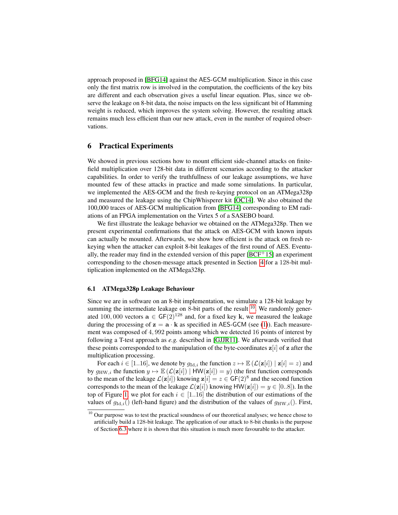approach proposed in [\[BFG14\]](#page-18-0) against the AES-GCM multiplication. Since in this case only the first matrix row is involved in the computation, the coefficients of the key bits are different and each observation gives a useful linear equation. Plus, since we observe the leakage on 8-bit data, the noise impacts on the less significant bit of Hamming weight is reduced, which improves the system solving. However, the resulting attack remains much less efficient than our new attack, even in the number of required observations.

### <span id="page-13-0"></span>6 Practical Experiments

We showed in previous sections how to mount efficient side-channel attacks on finitefield multiplication over 128-bit data in different scenarios according to the attacker capabilities. In order to verify the truthfullness of our leakage assumptions, we have mounted few of these attacks in practice and made some simulations. In particular, we implemented the AES-GCM and the fresh re-keying protocol on an ATMega328p and measured the leakage using the ChipWhisperer kit [\[OC14\]](#page-19-8). We also obtained the 100,000 traces of AES-GCM multiplication from [\[BFG14\]](#page-18-0) corresponding to EM radiations of an FPGA implementation on the Virtex 5 of a SASEBO board.

We first illustrate the leakage behavior we obtained on the ATMega328p. Then we present experimental confirmations that the attack on AES-GCM with known inputs can actually be mounted. Afterwards, we show how efficient is the attack on fresh rekeying when the attacker can exploit 8-bit leakages of the first round of AES. Eventually, the reader may find in the extended version of this paper  $[BCF^+15]$  $[BCF^+15]$  an experiment corresponding to the chosen-message attack presented in Section [4](#page-9-0) for a 128-bit multiplication implemented on the ATMega328p.

### 6.1 ATMega328p Leakage Behaviour

Since we are in software on an 8-bit implementation, we simulate a 128-bit leakage by summing the intermediate leakage on 8-bit parts of the result  $10$ . We randomly generated 100, 000 vectors  $\mathbf{a} \in \mathsf{GF}(2)^{128}$  and, for a fixed key k, we measured the leakage during the processing of  $z = a \cdot k$  as specified in AES-GCM (see [\(1\)](#page-3-1)). Each measurement was composed of 4, 992 points among which we detected 16 points of interest by following a T-test approach as *e.g.* described in [\[GJJR11\]](#page-18-13). We afterwards verified that these points corresponded to the manipulation of the byte-coordinates  $z[i]$  of z after the multiplication processing.

For each  $i \in [1..16]$ , we denote by  $q_{\text{Id},i}$  the function  $z \mapsto \mathbb{E} (\mathcal{L}(\mathbf{z}[i]) | \mathbf{z}[i] = z)$  and by  $g_{HW,i}$  the function  $y \mapsto \mathbb{E} (\mathcal{L}(\mathbf{z}[i]) | HW(\mathbf{z}[i]) = y)$  (the first function corresponds to the mean of the leakage  $\mathcal{L}(\mathbf{z}[i])$  knowing  $\mathbf{z}[i] = z \in \mathsf{GF}(2)^8$  and the second function corresponds to the mean of the leakage  $\mathcal{L}(\mathbf{z}[i])$  knowing  $HW(\mathbf{z}[i]) = y \in [0..8]$ . In the top of Figure [1,](#page-14-0) we plot for each  $i \in [1..16]$  the distribution of our estimations of the values of  $g_{\text{Id},i}$ () (left-hand figure) and the distribution of the values of  $g_{\text{HW},i}$ (). First,

<span id="page-13-1"></span><sup>&</sup>lt;sup>10</sup> Our purpose was to test the practical soundness of our theoretical analyses; we hence chose to artificially build a 128-bit leakage. The application of our attack to 8-bit chunks is the purpose of Section [6.3](#page-17-0) where it is shown that this situation is much more favourable to the attacker.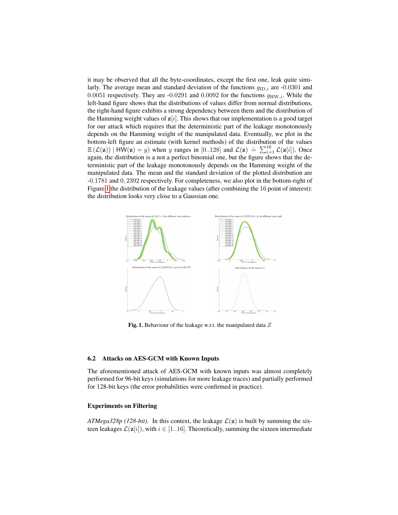it may be observed that all the byte-coordinates, except the first one, leak quite similarly. The average mean and standard deviation of the functions  $g_{\text{ID},i}$  are -0.0301 and 0.0051 respectively. They are -0.0291 and 0.0092 for the functions  $g_{HW,i}$ . While the left-hand figure shows that the distributions of values differ from normal distributions, the right-hand figure exhibits a strong dependency between them and the distribution of the Hamming weight values of  $z[i]$ . This shows that our implementation is a good target for our attack which requires that the deterministic part of the leakage monotonously depends on the Hamming weight of the manipulated data. Eventually, we plot in the bottom-left figure an estimate (with kernel methods) of the distribution of the values  $\mathbb{E} (\mathcal{L}(\mathbf{z})) | H W(\mathbf{z}) = y$  when y ranges in [0..128] and  $\mathcal{L}(\mathbf{z}) = \sum_{i=1}^{16} \mathcal{L}(\mathbf{z}[i])$ . Once again, the distribution is a not a perfect binomial one, but the figure shows that the deterministic part of the leakage monotonously depends on the Hamming weight of the manipulated data. The mean and the standard deviation of the plotted distribution are -0.1781 and 0, 2392 respectively. For completeness, we also plot in the bottom-right of Figure [1](#page-14-0) the distribution of the leakage values (after combining the 16 point of interest): the distribution looks very close to a Gaussian one.



<span id="page-14-0"></span>Fig. 1. Behaviour of the leakage w.r.t. the manipulated data Z

### 6.2 Attacks on AES-GCM with Known Inputs

The aforementioned attack of AES-GCM with known inputs was almost completely performed for 96-bit keys (simulations for more leakage traces) and partially performed for 128-bit keys (the error probabilities were confirmed in practice).

### Experiments on Filtering

*ATMega328p (128-bit).* In this context, the leakage  $\mathcal{L}(z)$  is built by summing the sixteen leakages  $\mathcal{L}(\mathbf{z}[i])$ , with  $i \in [1..16]$ . Theoretically, summing the sixteen intermediate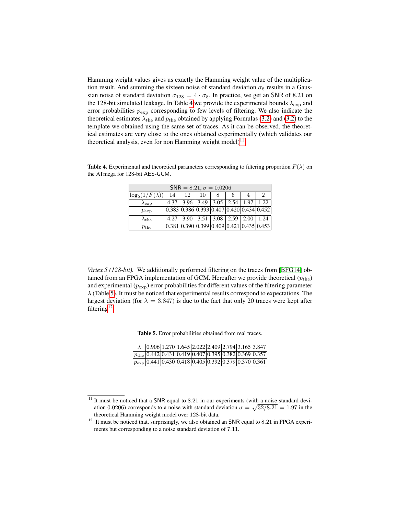Hamming weight values gives us exactly the Hamming weight value of the multiplication result. And summing the sixteen noise of standard deviation  $\sigma_8$  results in a Gaussian noise of standard deviation  $\sigma_{128} = 4 \cdot \sigma_8$ . In practice, we get an SNR of 8.21 on the 128-bit simulated leakage. In Table [4](#page-15-0) we provide the experimental bounds  $\lambda_{\exp}$  and error probabilities  $p_{\text{exp}}$  corresponding to few levels of filtering. We also indicate the theoretical estimates  $\lambda_{\text{the}}$  and  $p_{\text{the}}$  obtained by applying Formulas [\(3.2\)](#page-7-1) and (3.2) to the template we obtained using the same set of traces. As it can be observed, the theoretical estimates are very close to the ones obtained experimentally (which validates our theoretical analysis, even for non Hamming weight model) $^{11}$  $^{11}$  $^{11}$ .

| $SNR = 8.21, \sigma = 0.0206$       |                                                               |                  |    |  |  |                                                  |  |  |  |  |
|-------------------------------------|---------------------------------------------------------------|------------------|----|--|--|--------------------------------------------------|--|--|--|--|
| $\left \log_2(1/F(\lambda))\right $ | 14                                                            | 12 <sup>12</sup> | 10 |  |  |                                                  |  |  |  |  |
| $\lambda_{\mathrm{exp}}$            |                                                               |                  |    |  |  | $4.37$   3.96   3.49   3.05   2.54   1.97   1.22 |  |  |  |  |
| $p_{\exp}$                          | $0.383 \, 0.386 \, 0.393 \, 0.407 \, 0.420 \, 0.434 \, 0.452$ |                  |    |  |  |                                                  |  |  |  |  |
| $\lambda_{\rm{the}}$                |                                                               |                  |    |  |  | $4.27$   3.90   3.51   3.08   2.59   2.00   1.24 |  |  |  |  |
| $p_{\rm the}$                       | $(0.381 0.390 0.399 0.409 0.421 0.435 0.453)$                 |                  |    |  |  |                                                  |  |  |  |  |

<span id="page-15-0"></span>**Table 4.** Experimental and theoretical parameters corresponding to filtering proportion  $F(\lambda)$  on the ATmega for 128-bit AES-GCM.

*Virtex 5 (128-bit).* We additionally performed filtering on the traces from [\[BFG14\]](#page-18-0) obtained from an FPGA implementation of GCM. Hereafter we provide theoretical  $(p_{the})$ and experimental  $(p_{\exp})$  error probabilities for different values of the filtering parameter  $\lambda$  (Table [5\)](#page-15-2). It must be noticed that experimental results correspond to expectations. The largest deviation (for  $\lambda = 3.847$ ) is due to the fact that only 20 traces were kept after filtering<sup>[12](#page-15-3)</sup>.

<span id="page-15-2"></span>Table 5. Error probabilities obtained from real traces.

|  |  |  |  | $[0.906 1.270 1.645 2.022 2.409 2.794 3.165 3.847]$                            |
|--|--|--|--|--------------------------------------------------------------------------------|
|  |  |  |  | $ p_{\text{the}} 0.442 0.431 0.419 0.407 0.395 0.382 0.369 0.357 $             |
|  |  |  |  | $ p_{\rm exp} $ 0.441 $ 0.\overline{430} 0.418 0.405 0.392 0.379 0.370 0.361 $ |

<span id="page-15-1"></span> $11$  It must be noticed that a SNR equal to 8.21 in our experiments (with a noise standard deviation 0.0206) corresponds to a noise with standard deviation  $\sigma = \sqrt{32/8.21} = 1.97$  in the theoretical Hamming weight model over 128-bit data.

<span id="page-15-3"></span><sup>&</sup>lt;sup>12</sup> It must be noticed that, surprisingly, we also obtained an SNR equal to 8.21 in FPGA experiments but corresponding to a noise standard deviation of 7.11.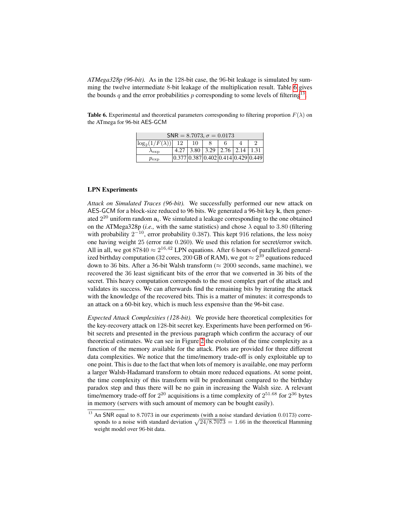*ATMega328p (96-bit).* As in the 128-bit case, the 96-bit leakage is simulated by summing the twelve intermediate 8-bit leakage of the multiplication result. Table [6](#page-16-0) gives the bounds  $q$  and the error probabilities  $p$  corresponding to some levels of filtering<sup>[13](#page-16-1)</sup>.

| $SNR = 8.7073$ , $\sigma = 0.0173$ |                                     |                                           |  |  |  |  |  |  |  |
|------------------------------------|-------------------------------------|-------------------------------------------|--|--|--|--|--|--|--|
| $ \log_2(1/F(\lambda)) $ 12        |                                     | 10                                        |  |  |  |  |  |  |  |
| $\lambda_{\rm exp}$                |                                     | $4.27$   3.80   3.29   2.76   2.14   1.31 |  |  |  |  |  |  |  |
| $p_{\rm exp}$                      | 0.377 0.387 0.402 0.414 0.429 0.449 |                                           |  |  |  |  |  |  |  |

<span id="page-16-0"></span>**Table 6.** Experimental and theoretical parameters corresponding to filtering proportion  $F(\lambda)$  on the ATmega for 96-bit AES-GCM

### LPN Experiments

*Attack on Simulated Traces (96-bit).* We successfully performed our new attack on AES-GCM for a block-size reduced to 96 bits. We generated a 96-bit key k, then generated  $2^{20}$  uniform random  $a_i$ . We simulated a leakage corresponding to the one obtained on the ATMega328p (*i.e.*, with the same statistics) and chose  $\lambda$  equal to 3.80 (filtering with probability  $2^{-10}$ , error probability 0.387). This kept 916 relations, the less noisy one having weight 25 (error rate 0.260). We used this relation for secret/error switch. All in all, we got  $87840 \approx 2^{16,42}$  LPN equations. After 6 hours of parallelized generalized birthday computation (32 cores, 200 GB of RAM), we got  $\approx 2^{39}$  equations reduced down to 36 bits. After a 36-bit Walsh transform ( $\approx$  2000 seconds, same machine), we recovered the 36 least significant bits of the error that we converted in 36 bits of the secret. This heavy computation corresponds to the most complex part of the attack and validates its success. We can afterwards find the remaining bits by iterating the attack with the knowledge of the recovered bits. This is a matter of minutes: it corresponds to an attack on a 60-bit key, which is much less expensive than the 96-bit case.

*Expected Attack Complexities (128-bit).* We provide here theoretical complexities for the key-recovery attack on 128-bit secret key. Experiments have been performed on 96 bit secrets and presented in the previous paragraph which confirm the accuracy of our theoretical estimates. We can see in Figure [2](#page-17-1) the evolution of the time complexity as a function of the memory available for the attack. Plots are provided for three different data complexities. We notice that the time/memory trade-off is only exploitable up to one point. This is due to the fact that when lots of memory is available, one may perform a larger Walsh-Hadamard transform to obtain more reduced equations. At some point, the time complexity of this transform will be predominant compared to the birthday paradox step and thus there will be no gain in increasing the Walsh size. A relevant time/memory trade-off for  $2^{20}$  acquisitions is a time complexity of  $2^{51.68}$  for  $2^{36}$  bytes in memory (servers with such amount of memory can be bought easily).

<span id="page-16-1"></span><sup>&</sup>lt;sup>13</sup> An SNR equal to 8.7073 in our experiments (with a noise standard deviation 0.0173) corresponds to a noise with standard deviation  $\sqrt{24/8.7073} = 1.66$  in the theoretical Hamming weight model over 96-bit data.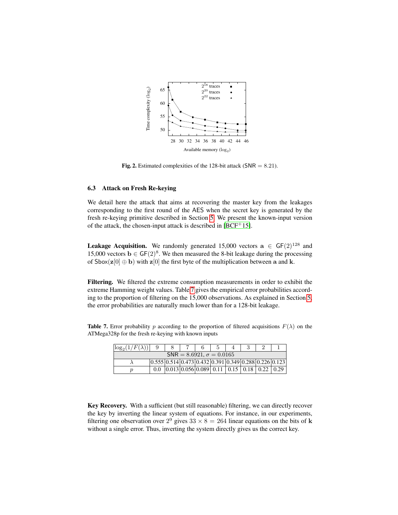

<span id="page-17-1"></span>**Fig. 2.** Estimated complexities of the 128-bit attack ( $SNR = 8.21$ ).

### <span id="page-17-0"></span>6.3 Attack on Fresh Re-keying

We detail here the attack that aims at recovering the master key from the leakages corresponding to the first round of the AES when the secret key is generated by the fresh re-keying primitive described in Section [5.](#page-11-0) We present the known-input version of the attack, the chosen-input attack is described in  $[BCF^+15]$  $[BCF^+15]$ .

**Leakage Acquisition.** We randomly generated 15,000 vectors  $a \in GF(2)^{128}$  and 15,000 vectors  $\mathbf{b} \in \mathsf{GF}(2)^8$ . We then measured the 8-bit leakage during the processing of  $\text{Sbox}(\mathbf{z}[0] \oplus \mathbf{b})$  with  $\mathbf{z}[0]$  the first byte of the multiplication between a and k.

Filtering. We filtered the extreme consumption measurements in order to exhibit the extreme Hamming weight values. Table [7](#page-17-2) gives the empirical error probabilities according to the proportion of filtering on the 15,000 observations. As explained in Section [5,](#page-11-0) the error probabilities are naturally much lower than for a 128-bit leakage.

**Table 7.** Error probability p according to the proportion of filtered acquisitions  $F(\lambda)$  on the ATMega328p for the fresh re-keying with known inputs

<span id="page-17-2"></span>

| $log_2(1)$                         |                                                          |  |                        |  |  |                  |  |  |  |  |
|------------------------------------|----------------------------------------------------------|--|------------------------|--|--|------------------|--|--|--|--|
| $SNR = 8.6921$ , $\sigma = 0.0165$ |                                                          |  |                        |  |  |                  |  |  |  |  |
|                                    | $ 0.555 0.514 0.473 0.432 0.391 0.349 0.288 0.226 0.123$ |  |                        |  |  |                  |  |  |  |  |
|                                    |                                                          |  | 0.013 0.056 0.089 0.11 |  |  | $0.15 \mid 0.18$ |  |  |  |  |

Key Recovery. With a sufficient (but still reasonable) filtering, we can directly recover the key by inverting the linear system of equations. For instance, in our experiments, filtering one observation over  $2^9$  gives  $33 \times 8 = 264$  linear equations on the bits of k without a single error. Thus, inverting the system directly gives us the correct key.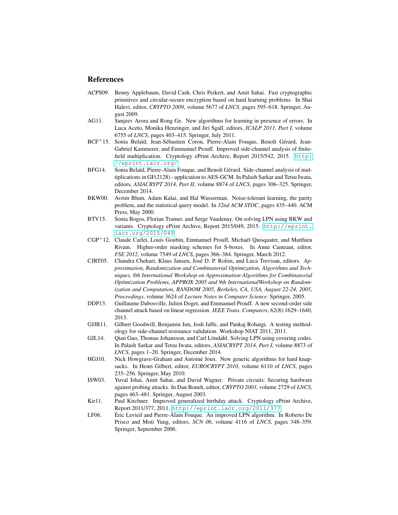## References

- <span id="page-18-7"></span>ACPS09. Benny Applebaum, David Cash, Chris Peikert, and Amit Sahai. Fast cryptographic primitives and circular-secure encryption based on hard learning problems. In Shai Halevi, editor, *CRYPTO 2009*, volume 5677 of *LNCS*, pages 595–618. Springer, August 2009.
- <span id="page-18-9"></span>AG11. Sanjeev Arora and Rong Ge. New algorithms for learning in presence of errors. In Luca Aceto, Monika Henzinger, and Jiri Sgall, editors, *ICALP 2011, Part I*, volume 6755 of *LNCS*, pages 403–415. Springer, July 2011.
- <span id="page-18-10"></span>BCF<sup>+</sup>15. Sonia Belaïd, Jean-Sébastien Coron, Pierre-Alain Fouque, Benoît Gérard, Jean-Gabriel Kammerer, and Emmanuel Prouff. Improved side-channel analysis of finitefield multiplication. Cryptology ePrint Archive, Report 2015/542, 2015. [http:](http://eprint.iacr.org/) [//eprint.iacr.org/](http://eprint.iacr.org/).
- <span id="page-18-0"></span>BFG14. Sonia Belaïd, Pierre-Alain Fouque, and Benoît Gérard. Side-channel analysis of multiplications in GF(2128) - application to AES-GCM. In Palash Sarkar and Tetsu Iwata, editors, *ASIACRYPT 2014, Part II*, volume 8874 of *LNCS*, pages 306–325. Springer, December 2014.
- <span id="page-18-4"></span>BKW00. Avrim Blum, Adam Kalai, and Hal Wasserman. Noise-tolerant learning, the parity problem, and the statistical query model. In *32nd ACM STOC*, pages 435–440. ACM Press, May 2000.
- <span id="page-18-2"></span>BTV15. Sonia Bogos, Florian Tramer, and Serge Vaudenay. On solving LPN using BKW and variants. Cryptology ePrint Archive, Report 2015/049, 2015. [http://eprint.](http://eprint.iacr.org/2015/049) [iacr.org/2015/049](http://eprint.iacr.org/2015/049).
- <span id="page-18-12"></span> $CGP<sup>+</sup>12.$  Claude Carlet, Louis Goubin, Emmanuel Prouff, Michaël Quisquater, and Matthieu Rivain. Higher-order masking schemes for S-boxes. In Anne Canteaut, editor, *FSE 2012*, volume 7549 of *LNCS*, pages 366–384. Springer, March 2012.
- <span id="page-18-14"></span>CJRT05. Chandra Chekuri, Klaus Jansen, José D. P. Rolim, and Luca Trevisan, editors. Ap*proximation, Randomization and Combinatorial Optimization, Algorithms and Techniques, 8th International Workshop on Approximation Algorithms for Combinatorial Optimization Problems, APPROX 2005 and 9th InternationalWorkshop on Randomization and Computation, RANDOM 2005, Berkeley, CA, USA, August 22-24, 2005, Proceedings*, volume 3624 of *Lecture Notes in Computer Science*. Springer, 2005.
- <span id="page-18-8"></span>DDP13. Guillaume Dabosville, Julien Doget, and Emmanuel Prouff. A new second-order side channel attack based on linear regression. *IEEE Trans. Computers*, 62(8):1629–1640, 2013.
- <span id="page-18-13"></span>GJJR11. Gilbert Goodwill, Benjamin Jun, Josh Jaffe, and Pankaj Rohatgi. A testing methodology for side-channel resistance validation. Workshop NIAT 2011, 2011.
- <span id="page-18-1"></span>GJL14. Oian Guo, Thomas Johansson, and Carl Löndahl. Solving LPN using covering codes. In Palash Sarkar and Tetsu Iwata, editors, *ASIACRYPT 2014, Part I*, volume 8873 of *LNCS*, pages 1–20. Springer, December 2014.
- <span id="page-18-5"></span>HGJ10. Nick Howgrave-Graham and Antoine Joux. New generic algorithms for hard knapsacks. In Henri Gilbert, editor, *EUROCRYPT 2010*, volume 6110 of *LNCS*, pages 235–256. Springer, May 2010.
- <span id="page-18-11"></span>ISW03. Yuval Ishai, Amit Sahai, and David Wagner. Private circuits: Securing hardware against probing attacks. In Dan Boneh, editor, *CRYPTO 2003*, volume 2729 of *LNCS*, pages 463–481. Springer, August 2003.
- <span id="page-18-6"></span>Kir11. Paul Kirchner. Improved generalized birthday attack. Cryptology ePrint Archive, Report 2011/377, 2011. <http://eprint.iacr.org/2011/377>.
- <span id="page-18-3"></span>LF06. Éric Levieil and Pierre-Alain Fouque. An improved LPN algorithm. In Roberto De Prisco and Moti Yung, editors, *SCN 06*, volume 4116 of *LNCS*, pages 348–359. Springer, September 2006.